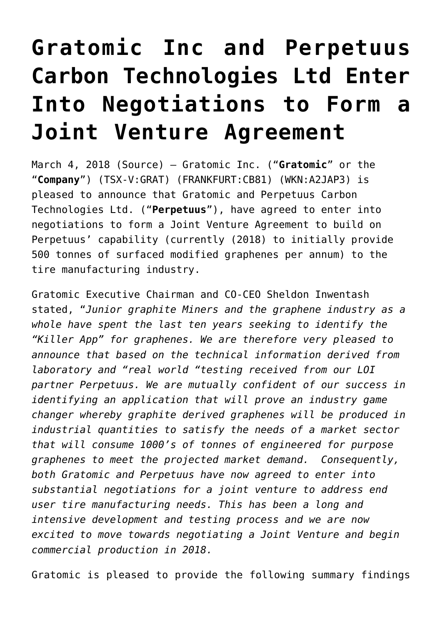## **[Gratomic Inc and Perpetuus](https://investorintel.com/markets/technology-metals/technology-metals-news/gratomic-inc-perpetuus-carbon-technologies-ltd-enter-negotiations-form-joint-venture-agreement/) [Carbon Technologies Ltd Enter](https://investorintel.com/markets/technology-metals/technology-metals-news/gratomic-inc-perpetuus-carbon-technologies-ltd-enter-negotiations-form-joint-venture-agreement/) [Into Negotiations to Form a](https://investorintel.com/markets/technology-metals/technology-metals-news/gratomic-inc-perpetuus-carbon-technologies-ltd-enter-negotiations-form-joint-venture-agreement/) [Joint Venture Agreement](https://investorintel.com/markets/technology-metals/technology-metals-news/gratomic-inc-perpetuus-carbon-technologies-ltd-enter-negotiations-form-joint-venture-agreement/)**

March 4, 2018 [\(Source](https://investorintel.com/iintel-members/gratomic-inc-2/)) — Gratomic Inc. ("**Gratomic**" or the "**Company**") (TSX-V:[GRAT](http://www.globenewswire.com/News/Listing?symbol=GRAT&exchange=15)) (FRANKFURT:[CB81](http://www.globenewswire.com/News/Listing?symbol=CB81&exchange=9)) (WKN:A2JAP3) is pleased to announce that Gratomic and Perpetuus Carbon Technologies Ltd. ("**Perpetuus**"), have agreed to enter into negotiations to form a Joint Venture Agreement to build on Perpetuus' capability (currently (2018) to initially provide 500 tonnes of surfaced modified graphenes per annum) to the tire manufacturing industry.

Gratomic Executive Chairman and CO-CEO Sheldon Inwentash stated, "*Junior graphite Miners and the graphene industry as a whole have spent the last ten years seeking to identify the "Killer App" for graphenes. We are therefore very pleased to announce that based on the technical information derived from laboratory and "real world "testing received from our LOI partner Perpetuus. We are mutually confident of our success in identifying an application that will prove an industry game changer whereby graphite derived graphenes will be produced in industrial quantities to satisfy the needs of a market sector that will consume 1000's of tonnes of engineered for purpose graphenes to meet the projected market demand. Consequently, both Gratomic and Perpetuus have now agreed to enter into substantial negotiations for a joint venture to address end user tire manufacturing needs. This has been a long and intensive development and testing process and we are now excited to move towards negotiating a Joint Venture and begin commercial production in 2018.*

Gratomic is pleased to provide the following summary findings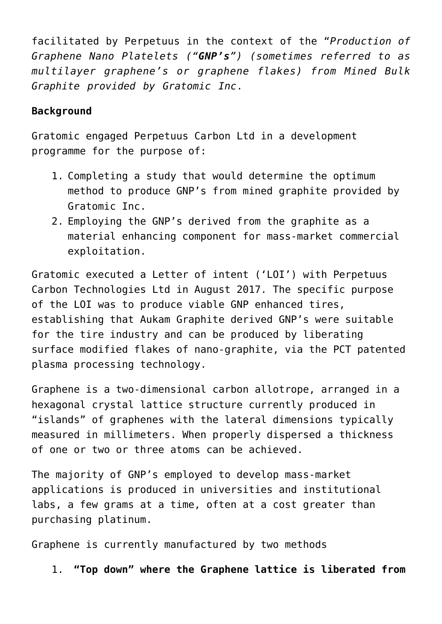facilitated by Perpetuus in the context of the "*Production of Graphene Nano Platelets ("GNP's") (sometimes referred to as multilayer graphene's or graphene flakes) from Mined Bulk Graphite provided by Gratomic Inc*.

### **Background**

Gratomic engaged Perpetuus Carbon Ltd in a development programme for the purpose of:

- 1. Completing a study that would determine the optimum method to produce GNP's from mined graphite provided by Gratomic Inc.
- 2. Employing the GNP's derived from the graphite as a material enhancing component for mass-market commercial exploitation.

Gratomic executed a Letter of intent ('LOI') with Perpetuus Carbon Technologies Ltd in August 2017. The specific purpose of the LOI was to produce viable GNP enhanced tires, establishing that Aukam Graphite derived GNP's were suitable for the tire industry and can be produced by liberating surface modified flakes of nano-graphite, via the PCT patented plasma processing technology.

Graphene is a two-dimensional carbon allotrope, arranged in a hexagonal crystal lattice structure currently produced in "islands" of graphenes with the lateral dimensions typically measured in millimeters. When properly dispersed a thickness of one or two or three atoms can be achieved.

The majority of GNP's employed to develop mass-market applications is produced in universities and institutional labs, a few grams at a time, often at a cost greater than purchasing platinum.

Graphene is currently manufactured by two methods

1. **"Top down" where the Graphene lattice is liberated from**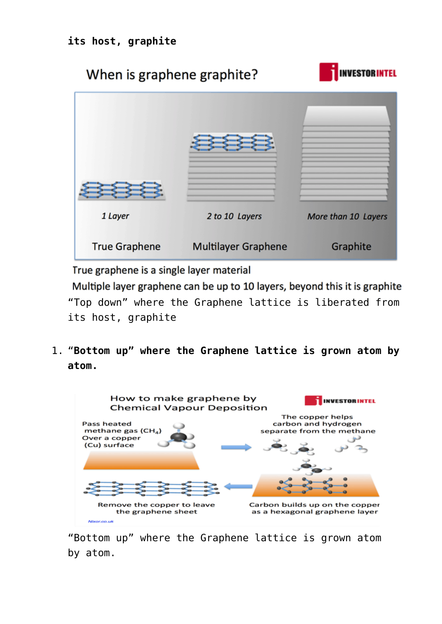# **INVESTORINTEL** When is graphene graphite? 1 Laver 2 to 10 Layers More than 10 Layers

**True Graphene Multilayer Graphene** 

True graphene is a single layer material

Multiple layer graphene can be up to 10 layers, beyond this it is graphite "Top down" where the Graphene lattice is liberated from its host, graphite

Graphite

1. "**Bottom up" where the Graphene lattice is grown atom by atom.**



"Bottom up" where the Graphene lattice is grown atom by atom.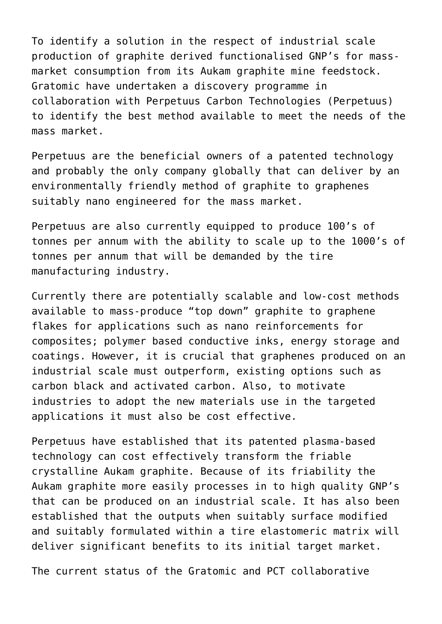To identify a solution in the respect of industrial scale production of graphite derived functionalised GNP's for massmarket consumption from its Aukam graphite mine feedstock. Gratomic have undertaken a discovery programme in collaboration with Perpetuus Carbon Technologies (Perpetuus) to identify the best method available to meet the needs of the mass market.

Perpetuus are the beneficial owners of a patented technology and probably the only company globally that can deliver by an environmentally friendly method of graphite to graphenes suitably nano engineered for the mass market.

Perpetuus are also currently equipped to produce 100's of tonnes per annum with the ability to scale up to the 1000's of tonnes per annum that will be demanded by the tire manufacturing industry.

Currently there are potentially scalable and low-cost methods available to mass-produce "top down" graphite to graphene flakes for applications such as nano reinforcements for composites; polymer based conductive inks, energy storage and coatings. However, it is crucial that graphenes produced on an industrial scale must outperform, existing options such as carbon black and activated carbon. Also, to motivate industries to adopt the new materials use in the targeted applications it must also be cost effective.

Perpetuus have established that its patented plasma-based technology can cost effectively transform the friable crystalline Aukam graphite. Because of its friability the Aukam graphite more easily processes in to high quality GNP's that can be produced on an industrial scale. It has also been established that the outputs when suitably surface modified and suitably formulated within a tire elastomeric matrix will deliver significant benefits to its initial target market.

The current status of the Gratomic and PCT collaborative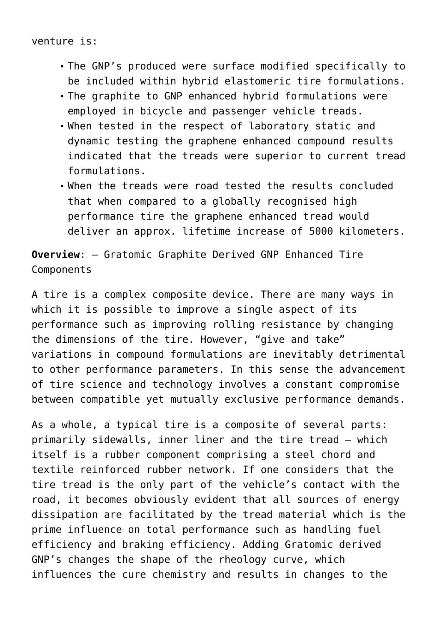venture is:

- The GNP's produced were surface modified specifically to be included within hybrid elastomeric tire formulations.
- The graphite to GNP enhanced hybrid formulations were employed in bicycle and passenger vehicle treads.
- When tested in the respect of laboratory static and dynamic testing the graphene enhanced compound results indicated that the treads were superior to current tread formulations.
- When the treads were road tested the results concluded that when compared to a globally recognised high performance tire the graphene enhanced tread would deliver an approx. lifetime increase of 5000 kilometers.

**Overview**: – Gratomic Graphite Derived GNP Enhanced Tire Components

A tire is a complex composite device. There are many ways in which it is possible to improve a single aspect of its performance such as improving rolling resistance by changing the dimensions of the tire. However, "give and take" variations in compound formulations are inevitably detrimental to other performance parameters. In this sense the advancement of tire science and technology involves a constant compromise between compatible yet mutually exclusive performance demands.

As a whole, a typical tire is a composite of several parts: primarily sidewalls, inner liner and the tire tread – which itself is a rubber component comprising a steel chord and textile reinforced rubber network. If one considers that the tire tread is the only part of the vehicle's contact with the road, it becomes obviously evident that all sources of energy dissipation are facilitated by the tread material which is the prime influence on total performance such as handling fuel efficiency and braking efficiency. Adding Gratomic derived GNP's changes the shape of the rheology curve, which influences the cure chemistry and results in changes to the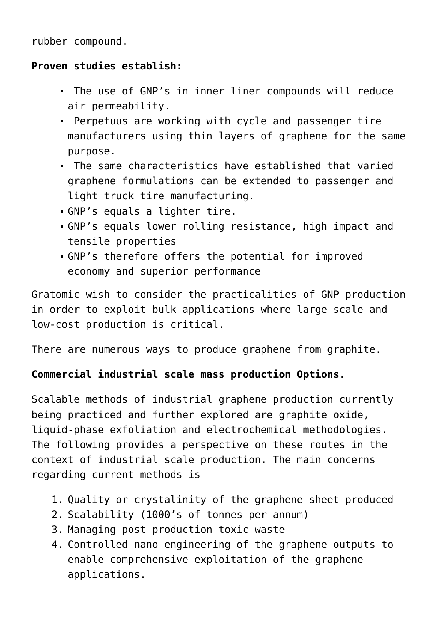rubber compound.

#### **Proven studies establish:**

- The use of GNP's in inner liner compounds will reduce air permeability.
- Perpetuus are working with cycle and passenger tire manufacturers using thin layers of graphene for the same purpose.
- The same characteristics have established that varied graphene formulations can be extended to passenger and light truck tire manufacturing.
- GNP's equals a lighter tire.
- GNP's equals lower rolling resistance, high impact and tensile properties
- GNP's therefore offers the potential for improved economy and superior performance

Gratomic wish to consider the practicalities of GNP production in order to exploit bulk applications where large scale and low-cost production is critical.

There are numerous ways to produce graphene from graphite.

### **Commercial industrial scale mass production Options.**

Scalable methods of industrial graphene production currently being practiced and further explored are graphite oxide, liquid-phase exfoliation and electrochemical methodologies. The following provides a perspective on these routes in the context of industrial scale production. The main concerns regarding current methods is

- 1. Quality or crystalinity of the graphene sheet produced
- 2. Scalability (1000's of tonnes per annum)
- 3. Managing post production toxic waste
- 4. Controlled nano engineering of the graphene outputs to enable comprehensive exploitation of the graphene applications.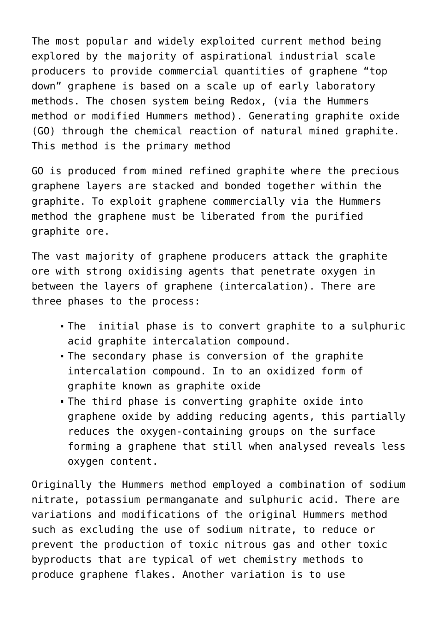The most popular and widely exploited current method being explored by the majority of aspirational industrial scale producers to provide commercial quantities of graphene "top down" graphene is based on a scale up of early laboratory methods. The chosen system being Redox, (via the Hummers method or modified Hummers method). Generating graphite oxide (GO) through the chemical reaction of natural mined graphite. This method is the primary method

GO is produced from mined refined graphite where the precious graphene layers are stacked and bonded together within the graphite. To exploit graphene commercially via the Hummers method the graphene must be liberated from the purified graphite ore.

The vast majority of graphene producers attack the graphite ore with strong oxidising agents that penetrate oxygen in between the layers of graphene (intercalation). There are three phases to the process:

- The initial phase is to convert graphite to a sulphuric acid graphite intercalation compound.
- The secondary phase is conversion of the graphite intercalation compound. In to an oxidized form of graphite known as graphite oxide
- The third phase is converting graphite oxide into graphene oxide by adding reducing agents, this partially reduces the oxygen-containing groups on the surface forming a graphene that still when analysed reveals less oxygen content.

Originally the Hummers method employed a combination of sodium nitrate, potassium permanganate and sulphuric acid. There are variations and modifications of the original Hummers method such as excluding the use of sodium nitrate, to reduce or prevent the production of toxic nitrous gas and other toxic byproducts that are typical of wet chemistry methods to produce graphene flakes. Another variation is to use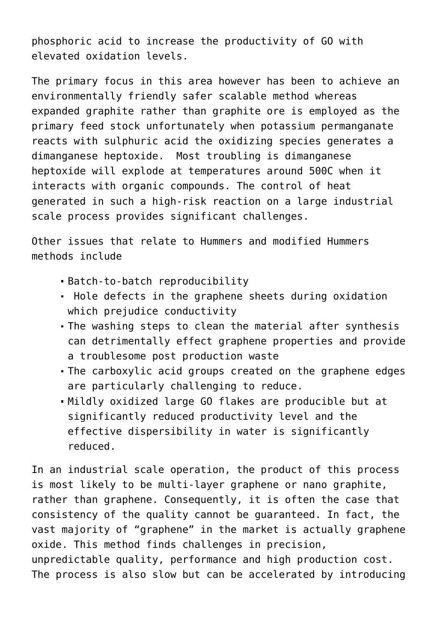phosphoric acid to increase the productivity of GO with elevated oxidation levels.

The primary focus in this area however has been to achieve an environmentally friendly safer scalable method whereas expanded graphite rather than graphite ore is employed as the primary feed stock unfortunately when potassium permanganate reacts with sulphuric acid the oxidizing species generates a dimanganese heptoxide. Most troubling is dimanganese heptoxide will explode at temperatures around 500C when it interacts with organic compounds. The control of heat generated in such a high-risk reaction on a large industrial scale process provides significant challenges.

Other issues that relate to Hummers and modified Hummers methods include

- Batch-to-batch reproducibility
- Hole defects in the graphene sheets during oxidation which prejudice conductivity
- The washing steps to clean the material after synthesis can detrimentally effect graphene properties and provide a troublesome post production waste
- The carboxylic acid groups created on the graphene edges are particularly challenging to reduce.
- Mildly oxidized large GO flakes are producible but at significantly reduced productivity level and the effective dispersibility in water is significantly reduced.

In an industrial scale operation, the product of this process is most likely to be multi-layer graphene or nano graphite, rather than graphene. Consequently, it is often the case that consistency of the quality cannot be guaranteed. In fact, the vast majority of "graphene" in the market is actually graphene oxide. This method finds challenges in precision, unpredictable quality, performance and high production cost. The process is also slow but can be accelerated by introducing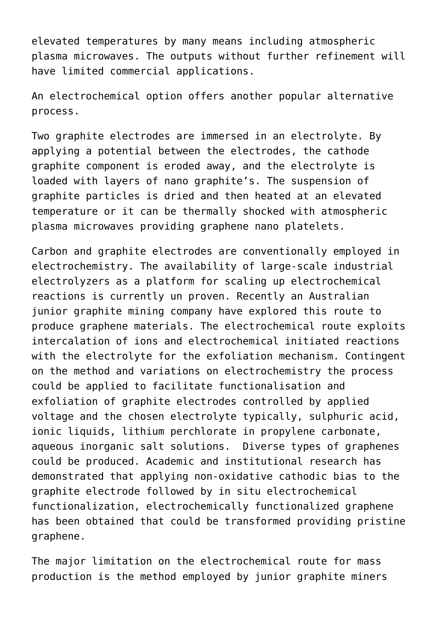elevated temperatures by many means including atmospheric plasma microwaves. The outputs without further refinement will have limited commercial applications.

An electrochemical option offers another popular alternative process.

Two graphite electrodes are immersed in an electrolyte. By applying a potential between the electrodes, the cathode graphite component is eroded away, and the electrolyte is loaded with layers of nano graphite's. The suspension of graphite particles is dried and then heated at an elevated temperature or it can be thermally shocked with atmospheric plasma microwaves providing graphene nano platelets.

Carbon and graphite electrodes are conventionally employed in electrochemistry. The availability of large-scale industrial electrolyzers as a platform for scaling up electrochemical reactions is currently un proven. Recently an Australian junior graphite mining company have explored this route to produce graphene materials. The electrochemical route exploits intercalation of ions and electrochemical initiated reactions with the electrolyte for the exfoliation mechanism. Contingent on the method and variations on electrochemistry the process could be applied to facilitate functionalisation and exfoliation of graphite electrodes controlled by applied voltage and the chosen electrolyte typically, sulphuric acid, ionic liquids, lithium perchlorate in propylene carbonate, aqueous inorganic salt solutions. Diverse types of graphenes could be produced. Academic and institutional research has demonstrated that applying non-oxidative cathodic bias to the graphite electrode followed by in situ electrochemical functionalization, electrochemically functionalized graphene has been obtained that could be transformed providing pristine graphene.

The major limitation on the electrochemical route for mass production is the method employed by junior graphite miners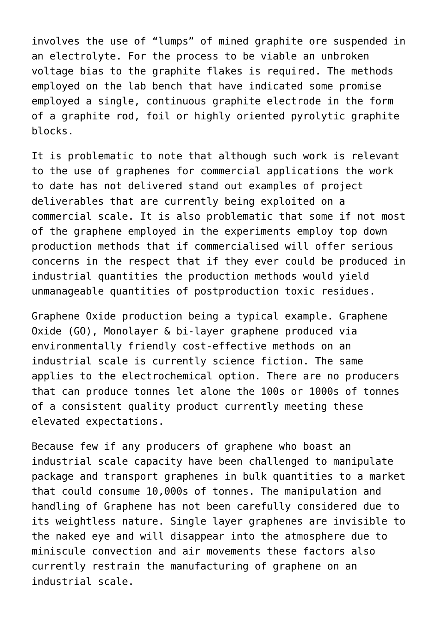involves the use of "lumps" of mined graphite ore suspended in an electrolyte. For the process to be viable an unbroken voltage bias to the graphite flakes is required. The methods employed on the lab bench that have indicated some promise employed a single, continuous graphite electrode in the form of a graphite rod, foil or highly oriented pyrolytic graphite blocks.

It is problematic to note that although such work is relevant to the use of graphenes for commercial applications the work to date has not delivered stand out examples of project deliverables that are currently being exploited on a commercial scale. It is also problematic that some if not most of the graphene employed in the experiments employ top down production methods that if commercialised will offer serious concerns in the respect that if they ever could be produced in industrial quantities the production methods would yield unmanageable quantities of postproduction toxic residues.

Graphene Oxide production being a typical example. Graphene Oxide (GO), Monolayer & bi-layer graphene produced via environmentally friendly cost-effective methods on an industrial scale is currently science fiction. The same applies to the electrochemical option. There are no producers that can produce tonnes let alone the 100s or 1000s of tonnes of a consistent quality product currently meeting these elevated expectations.

Because few if any producers of graphene who boast an industrial scale capacity have been challenged to manipulate package and transport graphenes in bulk quantities to a market that could consume 10,000s of tonnes. The manipulation and handling of Graphene has not been carefully considered due to its weightless nature. Single layer graphenes are invisible to the naked eye and will disappear into the atmosphere due to miniscule convection and air movements these factors also currently restrain the manufacturing of graphene on an industrial scale.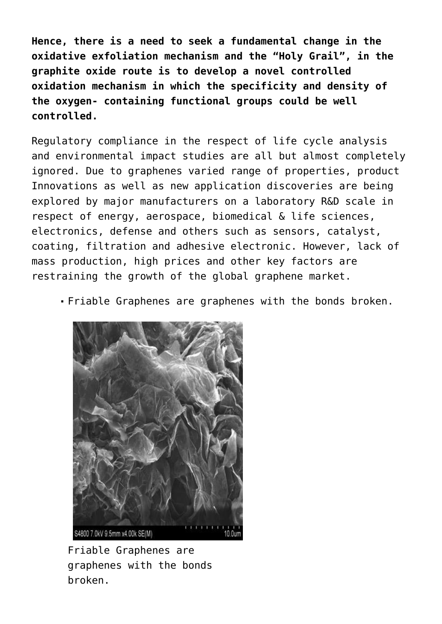**Hence, there is a need to seek a fundamental change in the oxidative exfoliation mechanism and the "Holy Grail", in the graphite oxide route is to develop a novel controlled oxidation mechanism in which the specificity and density of the oxygen- containing functional groups could be well controlled.**

Regulatory compliance in the respect of life cycle analysis and environmental impact studies are all but almost completely ignored. Due to graphenes varied range of properties, product Innovations as well as new application discoveries are being explored by major manufacturers on a laboratory R&D scale in respect of energy, aerospace, biomedical & life sciences, electronics, defense and others such as sensors, catalyst, coating, filtration and adhesive electronic. However, lack of mass production, high prices and other key factors are restraining the growth of the global graphene market.

Friable Graphenes are graphenes with the bonds broken.



Friable Graphenes are graphenes with the bonds broken.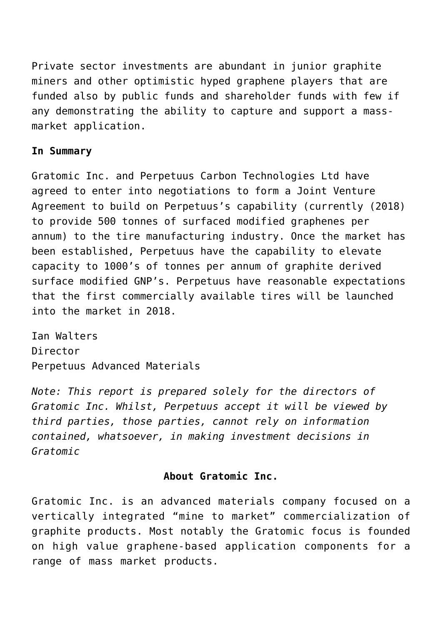Private sector investments are abundant in junior graphite miners and other optimistic hyped graphene players that are funded also by public funds and shareholder funds with few if any demonstrating the ability to capture and support a massmarket application.

#### **In Summary**

Gratomic Inc. and Perpetuus Carbon Technologies Ltd have agreed to enter into negotiations to form a Joint Venture Agreement to build on Perpetuus's capability (currently (2018) to provide 500 tonnes of surfaced modified graphenes per annum) to the tire manufacturing industry. Once the market has been established, Perpetuus have the capability to elevate capacity to 1000's of tonnes per annum of graphite derived surface modified GNP's. Perpetuus have reasonable expectations that the first commercially available tires will be launched into the market in 2018.

Ian Walters Director Perpetuus Advanced Materials

*Note: This report is prepared solely for the directors of Gratomic Inc. Whilst, Perpetuus accept it will be viewed by third parties, those parties, cannot rely on information contained, whatsoever, in making investment decisions in Gratomic*

#### **About Gratomic Inc.**

Gratomic Inc. is an advanced materials company focused on a vertically integrated "mine to market" commercialization of graphite products. Most notably the Gratomic focus is founded on high value graphene-based application components for a range of mass market products.